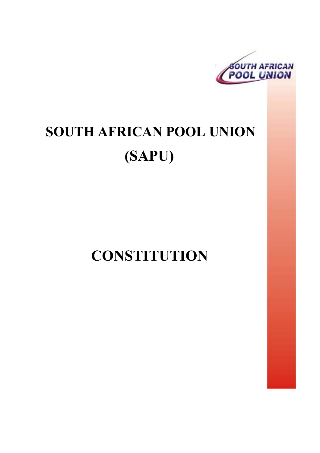

# **SOUTH AFRICAN POOL UNION (SAPU)**

**CONSTITUTION**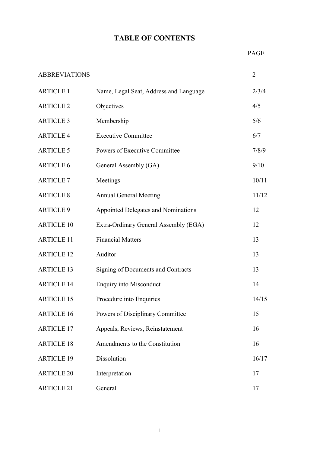# **TABLE OF CONTENTS**

| <b>ABBREVIATIONS</b> |                                            | $\overline{2}$ |
|----------------------|--------------------------------------------|----------------|
| <b>ARTICLE 1</b>     | Name, Legal Seat, Address and Language     | 2/3/4          |
| <b>ARTICLE 2</b>     | Objectives                                 | 4/5            |
| <b>ARTICLE 3</b>     | Membership                                 | 5/6            |
| <b>ARTICLE 4</b>     | <b>Executive Committee</b>                 | 6/7            |
| <b>ARTICLE 5</b>     | Powers of Executive Committee              | 7/8/9          |
| <b>ARTICLE 6</b>     | General Assembly (GA)                      | 9/10           |
| <b>ARTICLE 7</b>     | Meetings                                   | 10/11          |
| <b>ARTICLE 8</b>     | <b>Annual General Meeting</b>              | 11/12          |
| <b>ARTICLE 9</b>     | <b>Appointed Delegates and Nominations</b> | 12             |
| <b>ARTICLE 10</b>    | Extra-Ordinary General Assembly (EGA)      | 12             |
| <b>ARTICLE 11</b>    | <b>Financial Matters</b>                   | 13             |
| <b>ARTICLE 12</b>    | Auditor                                    | 13             |
| <b>ARTICLE 13</b>    | Signing of Documents and Contracts         | 13             |
| <b>ARTICLE 14</b>    | <b>Enquiry into Misconduct</b>             | 14             |
| <b>ARTICLE 15</b>    | Procedure into Enquiries                   | 14/15          |
| <b>ARTICLE 16</b>    | Powers of Disciplinary Committee           | 15             |
| <b>ARTICLE 17</b>    | Appeals, Reviews, Reinstatement            | 16             |
| <b>ARTICLE 18</b>    | Amendments to the Constitution             | 16             |
| <b>ARTICLE 19</b>    | Dissolution                                | 16/17          |
| <b>ARTICLE 20</b>    | Interpretation                             | 17             |
| <b>ARTICLE 21</b>    | General                                    | 17             |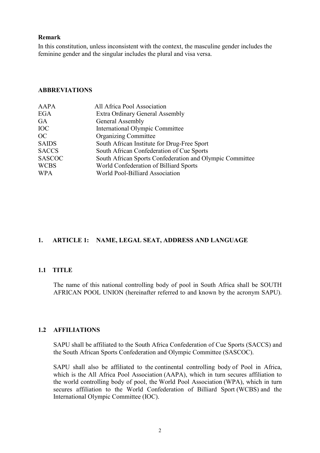#### **Remark**

In this constitution, unless inconsistent with the context, the masculine gender includes the feminine gender and the singular includes the plural and visa versa.

#### **ABBREVIATIONS**

| <b>AAPA</b>   | All Africa Pool Association                              |
|---------------|----------------------------------------------------------|
| <b>EGA</b>    | Extra Ordinary General Assembly                          |
| GA            | General Assembly                                         |
| <b>IOC</b>    | <b>International Olympic Committee</b>                   |
| OC            | <b>Organizing Committee</b>                              |
| <b>SAIDS</b>  | South African Institute for Drug-Free Sport              |
| <b>SACCS</b>  | South African Confederation of Cue Sports                |
| <b>SASCOC</b> | South African Sports Confederation and Olympic Committee |
| <b>WCBS</b>   | World Confederation of Billiard Sports                   |
| <b>WPA</b>    | World Pool-Billiard Association                          |

# **1. ARTICLE 1: NAME, LEGAL SEAT, ADDRESS AND LANGUAGE**

#### **1.1 TITLE**

 The name of this national controlling body of pool in South Africa shall be SOUTH AFRICAN POOL UNION (hereinafter referred to and known by the acronym SAPU).

#### **1.2 AFFILIATIONS**

SAPU shall be affiliated to the South Africa Confederation of Cue Sports (SACCS) and the South African Sports Confederation and Olympic Committee (SASCOC).

SAPU shall also be affiliated to the continental controlling body of Pool in Africa, which is the All Africa Pool Association (AAPA), which in turn secures affiliation to the world controlling body of pool, the World Pool Association (WPA), which in turn secures affiliation to the World Confederation of Billiard Sport (WCBS) and the International Olympic Committee (IOC).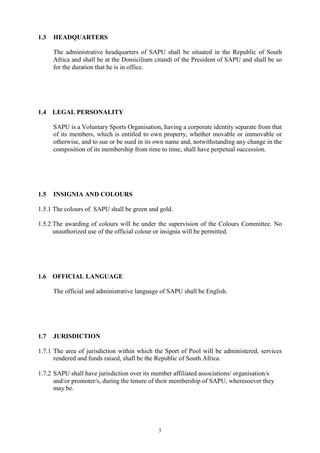#### **1.3 HEADQUARTERS**

The administrative headquarters of SAPU shall be situated in the Republic of South Africa and shall be at the Domicilium citandi of the President of SAPU and shall be so for the duration that he is in office.

# **1.4 LEGAL PERSONALITY**

SAPU is a Voluntary Sports Organisation, having a corporate identity separate from that of its members, which is entitled to own property, whether movable or immovable or otherwise, and to sue or be sued in its own name and, notwithstanding any change in the composition of its membership from time to time, shall have perpetual succession.

# **1.5 INSIGNIA AND COLOURS**

- 1.5.1 The colours of SAPU shall be green and gold.
- 1.5.2 The awarding of colours will be under the supervision of the Colours Committee. No unauthorized use of the official colour or insignia will be permitted.

# **1.6 OFFICIAL LANGUAGE**

The official and administrative language of SAPU shall be English.

# **1.7 JURISDICTION**

- 1.7.1 The area of jurisdiction within which the Sport of Pool will be administered, services rendered and funds raised, shall be the Republic of South Africa.
- 1.7.2 SAPU shall have jurisdiction over its member affiliated associations/ organisation/s and/or promoter/s, during the tenure of their membership of SAPU, wheresoever they may be.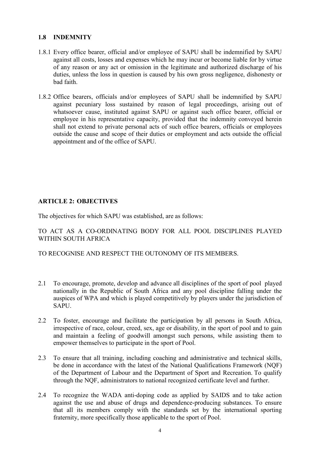#### **1.8 INDEMNITY**

- 1.8.1 Every office bearer, official and/or employee of SAPU shall be indemnified by SAPU against all costs, losses and expenses which he may incur or become liable for by virtue of any reason or any act or omission in the legitimate and authorized discharge of his duties, unless the loss in question is caused by his own gross negligence, dishonesty or bad faith.
- 1.8.2 Office bearers, officials and/or employees of SAPU shall be indemnified by SAPU against pecuniary loss sustained by reason of legal proceedings, arising out of whatsoever cause, instituted against SAPU or against such office bearer, official or employee in his representative capacity, provided that the indemnity conveyed herein shall not extend to private personal acts of such office bearers, officials or employees outside the cause and scope of their duties or employment and acts outside the official appointment and of the office of SAPU.

# **ARTICLE 2: OBJECTIVES**

The objectives for which SAPU was established, are as follows:

TO ACT AS A CO-ORDINATING BODY FOR ALL POOL DISCIPLINES PLAYED WITHIN SOUTH AFRICA

# TO RECOGNISE AND RESPECT THE OUTONOMY OF ITS MEMBERS.

- 2.1 To encourage, promote, develop and advance all disciplines of the sport of pool played nationally in the Republic of South Africa and any pool discipline falling under the auspices of WPA and which is played competitively by players under the jurisdiction of SAPU.
- 2.2 To foster, encourage and facilitate the participation by all persons in South Africa, irrespective of race, colour, creed, sex, age or disability, in the sport of pool and to gain and maintain a feeling of goodwill amongst such persons, while assisting them to empower themselves to participate in the sport of Pool.
- 2.3 To ensure that all training, including coaching and administrative and technical skills, be done in accordance with the latest of the National Qualifications Framework (NQF) of the Department of Labour and the Department of Sport and Recreation. To qualify through the NQF, administrators to national recognized certificate level and further.
- 2.4 To recognize the WADA anti-doping code as applied by SAIDS and to take action against the use and abuse of drugs and dependence-producing substances. To ensure that all its members comply with the standards set by the international sporting fraternity, more specifically those applicable to the sport of Pool.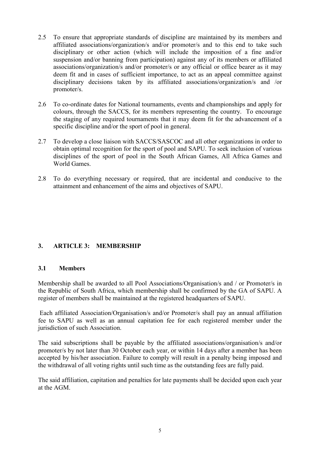- 2.5 To ensure that appropriate standards of discipline are maintained by its members and affiliated associations/organization/s and/or promoter/s and to this end to take such disciplinary or other action (which will include the imposition of a fine and/or suspension and/or banning from participation) against any of its members or affiliated associations/organization/s and/or promoter/s or any official or office bearer as it may deem fit and in cases of sufficient importance, to act as an appeal committee against disciplinary decisions taken by its affiliated associations/organization/s and /or promoter/s.
- 2.6 To co-ordinate dates for National tournaments, events and championships and apply for colours, through the SACCS, for its members representing the country. To encourage the staging of any required tournaments that it may deem fit for the advancement of a specific discipline and/or the sport of pool in general.
- 2.7 To develop a close liaison with SACCS/SASCOC and all other organizations in order to obtain optimal recognition for the sport of pool and SAPU. To seek inclusion of various disciplines of the sport of pool in the South African Games, All Africa Games and World Games
- 2.8 To do everything necessary or required, that are incidental and conducive to the attainment and enhancement of the aims and objectives of SAPU.

# **3. ARTICLE 3: MEMBERSHIP**

# **3.1 Members**

Membership shall be awarded to all Pool Associations/Organisation/s and / or Promoter/s in the Republic of South Africa, which membership shall be confirmed by the GA of SAPU. A register of members shall be maintained at the registered headquarters of SAPU.

 Each affiliated Association/Organisation/s and/or Promoter/s shall pay an annual affiliation fee to SAPU as well as an annual capitation fee for each registered member under the jurisdiction of such Association.

The said subscriptions shall be payable by the affiliated associations/organisation/s and/or promoter/s by not later than 30 October each year, or within 14 days after a member has been accepted by his/her association. Failure to comply will result in a penalty being imposed and the withdrawal of all voting rights until such time as the outstanding fees are fully paid.

The said affiliation, capitation and penalties for late payments shall be decided upon each year at the AGM.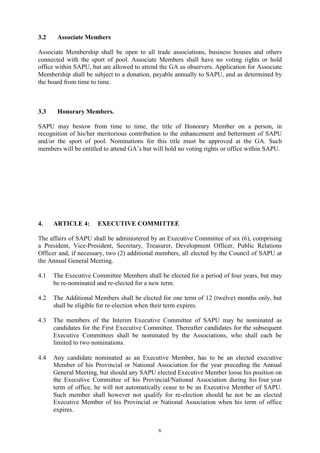#### **3.2 Associate Members**

Associate Membership shall be open to all trade associations, business houses and others connected with the sport of pool. Associate Members shall have no voting rights or hold office within SAPU, but are allowed to attend the GA as observers. Application for Associate Membership shall be subject to a donation, payable annually to SAPU, and as determined by the board from time to time.

# **3.3 Honorary Members.**

SAPU may bestow from time to time, the title of Honorary Member on a person, in recognition of his/her meritorious contribution to the enhancement and betterment of SAPU and/or the sport of pool. Nominations for this title must be approved at the GA. Such members will be entitled to attend GA's but will hold no voting rights or office within SAPU.

# **4. ARTICLE 4: EXECUTIVE COMMITTEE**

The affairs of SAPU shall be administered by an Executive Committee of six (6), comprising a President, Vice-President, Secretary, Treasurer, Development Officer, Public Relations Officer and, if necessary, two (2) additional members, all elected by the Council of SAPU at the Annual General Meeting.

- 4.1 The Executive Committee Members shall be elected for a period of four years, but may be re-nominated and re-elected for a new term.
- 4.2 The Additional Members shall be elected for one term of 12 (twelve) months only, but shall be eligible for re-election when their term expires.
- 4.3 The members of the Interim Executive Committee of SAPU may be nominated as candidates for the First Executive Committee. Thereafter candidates for the subsequent Executive Committees shall be nominated by the Associations, who shall each be limited to two nominations.
- 4.4 Any candidate nominated as an Executive Member, has to be an elected executive Member of his Provincial or National Association for the year preceding the Annual General Meeting, but should any SAPU elected Executive Member loose his position on the Executive Committee of his Provincial/National Association during his four year term of office, he will not automatically cease to be an Executive Member of SAPU. Such member shall however not qualify for re-election should he not be an elected Executive Member of his Provincial or National Association when his term of office expires.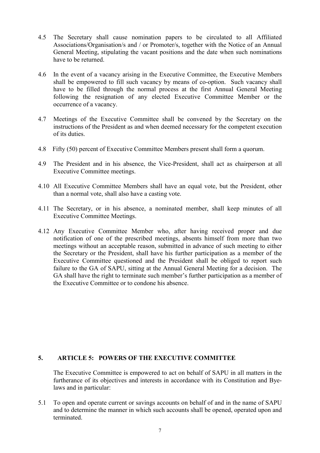- 4.5 The Secretary shall cause nomination papers to be circulated to all Affiliated Associations/Organisation/s and / or Promoter/s, together with the Notice of an Annual General Meeting, stipulating the vacant positions and the date when such nominations have to be returned.
- 4.6 In the event of a vacancy arising in the Executive Committee, the Executive Members shall be empowered to fill such vacancy by means of co-option. Such vacancy shall have to be filled through the normal process at the first Annual General Meeting following the resignation of any elected Executive Committee Member or the occurrence of a vacancy.
- 4.7 Meetings of the Executive Committee shall be convened by the Secretary on the instructions of the President as and when deemed necessary for the competent execution of its duties.
- 4.8 Fifty (50) percent of Executive Committee Members present shall form a quorum.
- 4.9 The President and in his absence, the Vice-President, shall act as chairperson at all Executive Committee meetings.
- 4.10 All Executive Committee Members shall have an equal vote, but the President, other than a normal vote, shall also have a casting vote.
- 4.11 The Secretary, or in his absence, a nominated member, shall keep minutes of all Executive Committee Meetings.
- 4.12 Any Executive Committee Member who, after having received proper and due notification of one of the prescribed meetings, absents himself from more than two meetings without an acceptable reason, submitted in advance of such meeting to either the Secretary or the President, shall have his further participation as a member of the Executive Committee questioned and the President shall be obliged to report such failure to the GA of SAPU, sitting at the Annual General Meeting for a decision. The GA shall have the right to terminate such member's further participation as a member of the Executive Committee or to condone his absence.

# **5. ARTICLE 5: POWERS OF THE EXECUTIVE COMMITTEE**

The Executive Committee is empowered to act on behalf of SAPU in all matters in the furtherance of its objectives and interests in accordance with its Constitution and Byelaws and in particular:

5.1 To open and operate current or savings accounts on behalf of and in the name of SAPU and to determine the manner in which such accounts shall be opened, operated upon and terminated.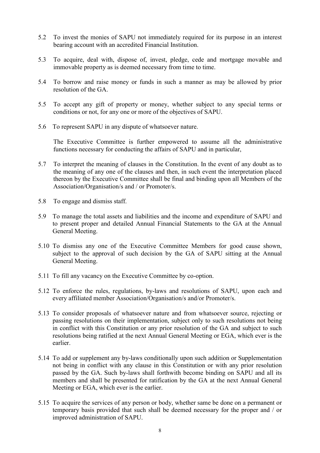- 5.2 To invest the monies of SAPU not immediately required for its purpose in an interest bearing account with an accredited Financial Institution.
- 5.3 To acquire, deal with, dispose of, invest, pledge, cede and mortgage movable and immovable property as is deemed necessary from time to time.
- 5.4 To borrow and raise money or funds in such a manner as may be allowed by prior resolution of the GA
- 5.5 To accept any gift of property or money, whether subject to any special terms or conditions or not, for any one or more of the objectives of SAPU.
- 5.6 To represent SAPU in any dispute of whatsoever nature.

The Executive Committee is further empowered to assume all the administrative functions necessary for conducting the affairs of SAPU and in particular,

- 5.7 To interpret the meaning of clauses in the Constitution. In the event of any doubt as to the meaning of any one of the clauses and then, in such event the interpretation placed thereon by the Executive Committee shall be final and binding upon all Members of the Association/Organisation/s and / or Promoter/s.
- 5.8 To engage and dismiss staff.
- 5.9 To manage the total assets and liabilities and the income and expenditure of SAPU and to present proper and detailed Annual Financial Statements to the GA at the Annual General Meeting.
- 5.10 To dismiss any one of the Executive Committee Members for good cause shown, subject to the approval of such decision by the GA of SAPU sitting at the Annual General Meeting.
- 5.11 To fill any vacancy on the Executive Committee by co-option.
- 5.12 To enforce the rules, regulations, by-laws and resolutions of SAPU, upon each and every affiliated member Association/Organisation/s and/or Promoter/s.
- 5.13 To consider proposals of whatsoever nature and from whatsoever source, rejecting or passing resolutions on their implementation, subject only to such resolutions not being in conflict with this Constitution or any prior resolution of the GA and subject to such resolutions being ratified at the next Annual General Meeting or EGA, which ever is the earlier.
- 5.14 To add or supplement any by-laws conditionally upon such addition or Supplementation not being in conflict with any clause in this Constitution or with any prior resolution passed by the GA. Such by-laws shall forthwith become binding on SAPU and all its members and shall be presented for ratification by the GA at the next Annual General Meeting or EGA, which ever is the earlier.
- 5.15 To acquire the services of any person or body, whether same be done on a permanent or temporary basis provided that such shall be deemed necessary for the proper and / or improved administration of SAPU.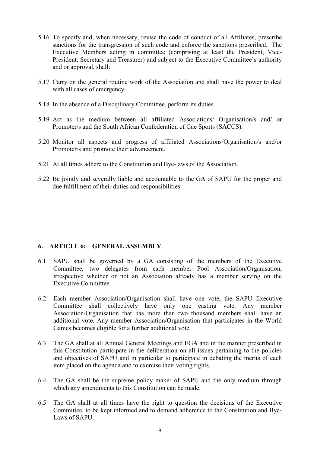- 5.16 To specify and, when necessary, revise the code of conduct of all Affiliates, prescribe sanctions for the transgression of such code and enforce the sanctions prescribed. The Executive Members acting in committee (comprising at least the President, Vice-President, Secretary and Treasurer) and subject to the Executive Committee's authority and or approval, shall:
- 5.17 Carry on the general routine work of the Association and shall have the power to deal with all cases of emergency.
- 5.18 In the absence of a Disciplinary Committee, perform its duties.
- 5.19 Act as the medium between all affiliated Associations/ Organisation/s and/ or Promoter/s and the South African Confederation of Cue Sports (SACCS).
- 5.20 Monitor all aspects and progress of affiliated Associations/Organisation/s and/or Promoter/s and promote their advancement.
- 5.21 At all times adhere to the Constitution and Bye-laws of the Association.
- 5.22 Be jointly and severally liable and accountable to the GA of SAPU for the proper and due fulfillment of their duties and responsibilities.

#### **6. ARTICLE 6: GENERAL ASSEMBLY**

- 6.1 SAPU shall be governed by a GA consisting of the members of the Executive Committee, two delegates from each member Pool Association/Organisation, irrespective whether or not an Association already has a member serving on the Executive Committee.
- 6.2 Each member Association/Organisation shall have one vote, the SAPU Executive Committee shall collectively have only one casting vote. Any member Association/Organisation that has more than two thousand members shall have an additional vote. Any member Association/Organisation that participates in the World Games becomes eligible for a further additional vote.
- 6.3 The GA shall at all Annual General Meetings and EGA and in the manner prescribed in this Constitution participate in the deliberation on all issues pertaining to the policies and objectives of SAPU and in particular to participate in debating the merits of each item placed on the agenda and to exercise their voting rights.
- 6.4 The GA shall be the supreme policy maker of SAPU and the only medium through which any amendments to this Constitution can be made.
- 6.5 The GA shall at all times have the right to question the decisions of the Executive Committee, to be kept informed and to demand adherence to the Constitution and Bye-Laws of SAPU.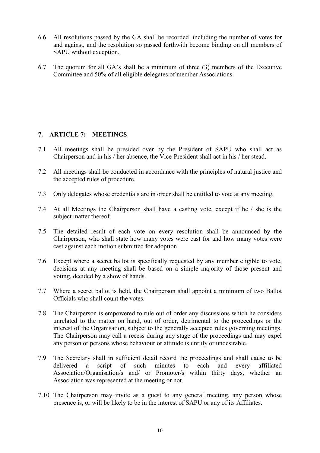- 6.6 All resolutions passed by the GA shall be recorded, including the number of votes for and against, and the resolution so passed forthwith become binding on all members of SAPU without exception.
- 6.7 The quorum for all GA's shall be a minimum of three (3) members of the Executive Committee and 50% of all eligible delegates of member Associations.

# **7. ARTICLE 7: MEETINGS**

- 7.1 All meetings shall be presided over by the President of SAPU who shall act as Chairperson and in his / her absence, the Vice-President shall act in his / her stead.
- 7.2 All meetings shall be conducted in accordance with the principles of natural justice and the accepted rules of procedure.
- 7.3 Only delegates whose credentials are in order shall be entitled to vote at any meeting.
- 7.4 At all Meetings the Chairperson shall have a casting vote, except if he / she is the subject matter thereof.
- 7.5 The detailed result of each vote on every resolution shall be announced by the Chairperson, who shall state how many votes were cast for and how many votes were cast against each motion submitted for adoption.
- 7.6 Except where a secret ballot is specifically requested by any member eligible to vote, decisions at any meeting shall be based on a simple majority of those present and voting, decided by a show of hands.
- 7.7 Where a secret ballot is held, the Chairperson shall appoint a minimum of two Ballot Officials who shall count the votes.
- 7.8 The Chairperson is empowered to rule out of order any discussions which he considers unrelated to the matter on hand, out of order, detrimental to the proceedings or the interest of the Organisation, subject to the generally accepted rules governing meetings. The Chairperson may call a recess during any stage of the proceedings and may expel any person or persons whose behaviour or attitude is unruly or undesirable.
- 7.9 The Secretary shall in sufficient detail record the proceedings and shall cause to be delivered a script of such minutes to each and every affiliated Association/Organisation/s and/ or Promoter/s within thirty days, whether an Association was represented at the meeting or not.
- 7.10 The Chairperson may invite as a guest to any general meeting, any person whose presence is, or will be likely to be in the interest of SAPU or any of its Affiliates.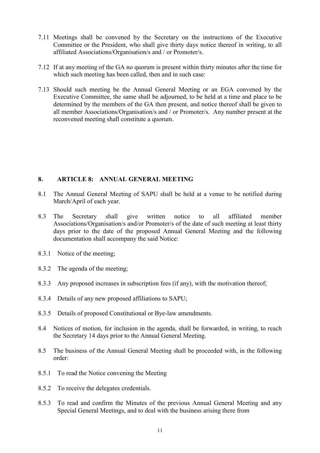- 7.11 Meetings shall be convened by the Secretary on the instructions of the Executive Committee or the President, who shall give thirty days notice thereof in writing, to all affiliated Associations/Organisation/s and / or Promoter/s.
- 7.12 If at any meeting of the GA no quorum is present within thirty minutes after the time for which such meeting has been called, then and in such case:
- 7.13 Should such meeting be the Annual General Meeting or an EGA convened by the Executive Committee, the same shall be adjourned, to be held at a time and place to be determined by the members of the GA then present, and notice thereof shall be given to all member Associations/Organisation/s and / or Promoter/s. Any number present at the reconvened meeting shall constitute a quorum.

# **8. ARTICLE 8: ANNUAL GENERAL MEETING**

- 8.1 The Annual General Meeting of SAPU shall be held at a venue to be notified during March/April of each year.
- 8.3 The Secretary shall give written notice to all affiliated member Associations/Organisation/s and/or Promoter/s of the date of such meeting at least thirty days prior to the date of the proposed Annual General Meeting and the following documentation shall accompany the said Notice:
- 8.3.1 Notice of the meeting;
- 8.3.2 The agenda of the meeting;
- 8.3.3 Any proposed increases in subscription fees (if any), with the motivation thereof;
- 8.3.4 Details of any new proposed affiliations to SAPU;
- 8.3.5 Details of proposed Constitutional or Bye-law amendments.
- 8.4 Notices of motion, for inclusion in the agenda, shall be forwarded, in writing, to reach the Secretary 14 days prior to the Annual General Meeting.
- 8.5 The business of the Annual General Meeting shall be proceeded with, in the following order:
- 8.5.1 To read the Notice convening the Meeting
- 8.5.2 To receive the delegates credentials.
- 8.5.3 To read and confirm the Minutes of the previous Annual General Meeting and any Special General Meetings, and to deal with the business arising there from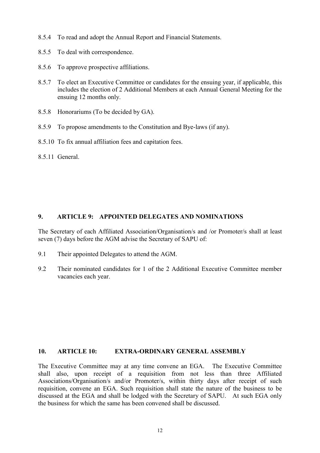- 8.5.4 To read and adopt the Annual Report and Financial Statements.
- 8.5.5 To deal with correspondence.
- 8.5.6 To approve prospective affiliations.
- 8.5.7 To elect an Executive Committee or candidates for the ensuing year, if applicable, this includes the election of 2 Additional Members at each Annual General Meeting for the ensuing 12 months only.
- 8.5.8 Honorariums (To be decided by GA).
- 8.5.9 To propose amendments to the Constitution and Bye-laws (if any).
- 8.5.10 To fix annual affiliation fees and capitation fees.
- 8.5.11 General.

# **9. ARTICLE 9: APPOINTED DELEGATES AND NOMINATIONS**

The Secretary of each Affiliated Association/Organisation/s and /or Promoter/s shall at least seven (7) days before the AGM advise the Secretary of SAPU of:

- 9.1 Their appointed Delegates to attend the AGM.
- 9.2 Their nominated candidates for 1 of the 2 Additional Executive Committee member vacancies each year.

#### **10. ARTICLE 10: EXTRA-ORDINARY GENERAL ASSEMBLY**

The Executive Committee may at any time convene an EGA. The Executive Committee shall also, upon receipt of a requisition from not less than three Affiliated Associations/Organisation/s and/or Promoter/s, within thirty days after receipt of such requisition, convene an EGA. Such requisition shall state the nature of the business to be discussed at the EGA and shall be lodged with the Secretary of SAPU. At such EGA only the business for which the same has been convened shall be discussed.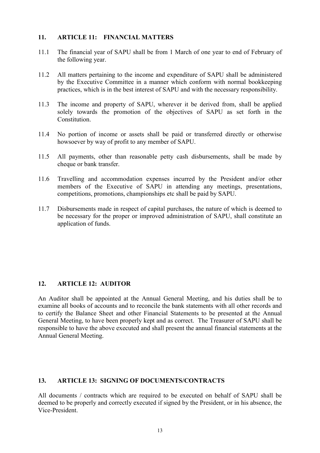#### **11. ARTICLE 11: FINANCIAL MATTERS**

- 11.1 The financial year of SAPU shall be from 1 March of one year to end of February of the following year.
- 11.2 All matters pertaining to the income and expenditure of SAPU shall be administered by the Executive Committee in a manner which conform with normal bookkeeping practices, which is in the best interest of SAPU and with the necessary responsibility.
- 11.3 The income and property of SAPU, wherever it be derived from, shall be applied solely towards the promotion of the objectives of SAPU as set forth in the Constitution.
- 11.4 No portion of income or assets shall be paid or transferred directly or otherwise howsoever by way of profit to any member of SAPU.
- 11.5 All payments, other than reasonable petty cash disbursements, shall be made by cheque or bank transfer.
- 11.6 Travelling and accommodation expenses incurred by the President and/or other members of the Executive of SAPU in attending any meetings, presentations, competitions, promotions, championships etc shall be paid by SAPU.
- 11.7 Disbursements made in respect of capital purchases, the nature of which is deemed to be necessary for the proper or improved administration of SAPU, shall constitute an application of funds.

#### **12. ARTICLE 12: AUDITOR**

An Auditor shall be appointed at the Annual General Meeting, and his duties shall be to examine all books of accounts and to reconcile the bank statements with all other records and to certify the Balance Sheet and other Financial Statements to be presented at the Annual General Meeting, to have been properly kept and as correct. The Treasurer of SAPU shall be responsible to have the above executed and shall present the annual financial statements at the Annual General Meeting.

#### **13. ARTICLE 13: SIGNING OF DOCUMENTS/CONTRACTS**

All documents / contracts which are required to be executed on behalf of SAPU shall be deemed to be properly and correctly executed if signed by the President, or in his absence, the Vice-President.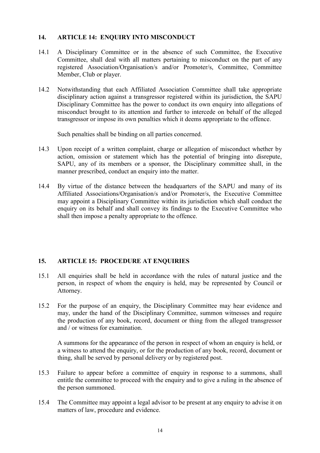# **14. ARTICLE 14: ENQUIRY INTO MISCONDUCT**

- 14.1 A Disciplinary Committee or in the absence of such Committee, the Executive Committee, shall deal with all matters pertaining to misconduct on the part of any registered Association/Organisation/s and/or Promoter/s, Committee, Committee Member, Club or player.
- 14.2 Notwithstanding that each Affiliated Association Committee shall take appropriate disciplinary action against a transgressor registered within its jurisdiction, the SAPU Disciplinary Committee has the power to conduct its own enquiry into allegations of misconduct brought to its attention and further to intercede on behalf of the alleged transgressor or impose its own penalties which it deems appropriate to the offence.

Such penalties shall be binding on all parties concerned.

- 14.3 Upon receipt of a written complaint, charge or allegation of misconduct whether by action, omission or statement which has the potential of bringing into disrepute, SAPU, any of its members or a sponsor, the Disciplinary committee shall, in the manner prescribed, conduct an enquiry into the matter.
- 14.4 By virtue of the distance between the headquarters of the SAPU and many of its Affiliated Associations/Organisation/s and/or Promoter/s, the Executive Committee may appoint a Disciplinary Committee within its jurisdiction which shall conduct the enquiry on its behalf and shall convey its findings to the Executive Committee who shall then impose a penalty appropriate to the offence.

# **15. ARTICLE 15: PROCEDURE AT ENQUIRIES**

- 15.1 All enquiries shall be held in accordance with the rules of natural justice and the person, in respect of whom the enquiry is held, may be represented by Council or Attorney.
- 15.2 For the purpose of an enquiry, the Disciplinary Committee may hear evidence and may, under the hand of the Disciplinary Committee, summon witnesses and require the production of any book, record, document or thing from the alleged transgressor and / or witness for examination.

A summons for the appearance of the person in respect of whom an enquiry is held, or a witness to attend the enquiry, or for the production of any book, record, document or thing, shall be served by personal delivery or by registered post.

- 15.3 Failure to appear before a committee of enquiry in response to a summons, shall entitle the committee to proceed with the enquiry and to give a ruling in the absence of the person summoned.
- 15.4 The Committee may appoint a legal advisor to be present at any enquiry to advise it on matters of law, procedure and evidence.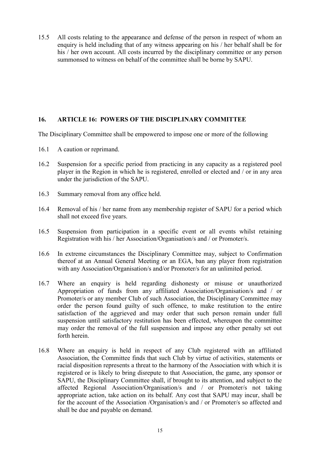15.5 All costs relating to the appearance and defense of the person in respect of whom an enquiry is held including that of any witness appearing on his / her behalf shall be for his / her own account. All costs incurred by the disciplinary committee or any person summonsed to witness on behalf of the committee shall be borne by SAPU.

# **16. ARTICLE 16: POWERS OF THE DISCIPLINARY COMMITTEE**

The Disciplinary Committee shall be empowered to impose one or more of the following

- 16.1 A caution or reprimand.
- 16.2 Suspension for a specific period from practicing in any capacity as a registered pool player in the Region in which he is registered, enrolled or elected and / or in any area under the jurisdiction of the SAPU.
- 16.3 Summary removal from any office held.
- 16.4 Removal of his / her name from any membership register of SAPU for a period which shall not exceed five years.
- 16.5 Suspension from participation in a specific event or all events whilst retaining Registration with his / her Association/Organisation/s and / or Promoter/s.
- 16.6 In extreme circumstances the Disciplinary Committee may, subject to Confirmation thereof at an Annual General Meeting or an EGA, ban any player from registration with any Association/Organisation/s and/or Promoter/s for an unlimited period.
- 16.7 Where an enquiry is held regarding dishonesty or misuse or unauthorized Appropriation of funds from any affiliated Association/Organisation/s and / or Promoter/s or any member Club of such Association, the Disciplinary Committee may order the person found guilty of such offence, to make restitution to the entire satisfaction of the aggrieved and may order that such person remain under full suspension until satisfactory restitution has been effected, whereupon the committee may order the removal of the full suspension and impose any other penalty set out forth herein.
- 16.8 Where an enquiry is held in respect of any Club registered with an affiliated Association, the Committee finds that such Club by virtue of activities, statements or racial disposition represents a threat to the harmony of the Association with which it is registered or is likely to bring disrepute to that Association, the game, any sponsor or SAPU, the Disciplinary Committee shall, if brought to its attention, and subject to the affected Regional Association/Organisation/s and / or Promoter/s not taking appropriate action, take action on its behalf. Any cost that SAPU may incur, shall be for the account of the Association /Organisation/s and / or Promoter/s so affected and shall be due and payable on demand.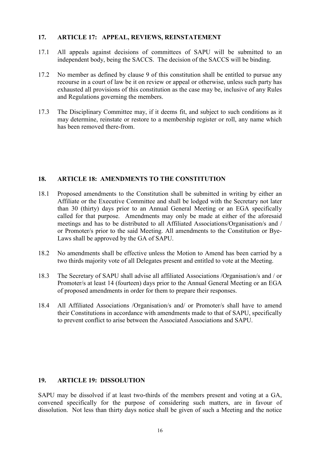#### **17. ARTICLE 17: APPEAL, REVIEWS, REINSTATEMENT**

- 17.1 All appeals against decisions of committees of SAPU will be submitted to an independent body, being the SACCS. The decision of the SACCS will be binding.
- 17.2 No member as defined by clause 9 of this constitution shall be entitled to pursue any recourse in a court of law be it on review or appeal or otherwise, unless such party has exhausted all provisions of this constitution as the case may be, inclusive of any Rules and Regulations governing the members.
- 17.3 The Disciplinary Committee may, if it deems fit, and subject to such conditions as it may determine, reinstate or restore to a membership register or roll, any name which has been removed there-from.

#### **18. ARTICLE 18: AMENDMENTS TO THE CONSTITUTION**

- 18.1 Proposed amendments to the Constitution shall be submitted in writing by either an Affiliate or the Executive Committee and shall be lodged with the Secretary not later than 30 (thirty) days prior to an Annual General Meeting or an EGA specifically called for that purpose. Amendments may only be made at either of the aforesaid meetings and has to be distributed to all Affiliated Associations/Organisation/s and / or Promoter/s prior to the said Meeting. All amendments to the Constitution or Bye-Laws shall be approved by the GA of SAPU.
- 18.2 No amendments shall be effective unless the Motion to Amend has been carried by a two thirds majority vote of all Delegates present and entitled to vote at the Meeting.
- 18.3 The Secretary of SAPU shall advise all affiliated Associations /Organisation/s and / or Promoter/s at least 14 (fourteen) days prior to the Annual General Meeting or an EGA of proposed amendments in order for them to prepare their responses.
- 18.4 All Affiliated Associations /Organisation/s and/ or Promoter/s shall have to amend their Constitutions in accordance with amendments made to that of SAPU, specifically to prevent conflict to arise between the Associated Associations and SAPU.

# **19. ARTICLE 19: DISSOLUTION**

SAPU may be dissolved if at least two-thirds of the members present and voting at a GA, convened specifically for the purpose of considering such matters, are in favour of dissolution. Not less than thirty days notice shall be given of such a Meeting and the notice